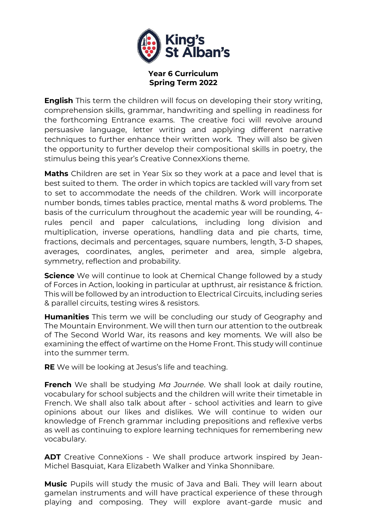

## **Year 6 Curriculum Spring Term 2022**

**English** This term the children will focus on developing their story writing, comprehension skills, grammar, handwriting and spelling in readiness for the forthcoming Entrance exams. The creative foci will revolve around persuasive language, letter writing and applying different narrative techniques to further enhance their written work. They will also be given the opportunity to further develop their compositional skills in poetry, the stimulus being this year's Creative ConnexXions theme.

**Maths** Children are set in Year Six so they work at a pace and level that is best suited to them. The order in which topics are tackled will vary from set to set to accommodate the needs of the children. Work will incorporate number bonds, times tables practice, mental maths & word problems. The basis of the curriculum throughout the academic year will be rounding, 4 rules pencil and paper calculations, including long division and multiplication, inverse operations, handling data and pie charts, time, fractions, decimals and percentages, square numbers, length, 3-D shapes, averages, coordinates, angles, perimeter and area, simple algebra, symmetry, reflection and probability.

**Science** We will continue to look at Chemical Change followed by a study of Forces in Action, looking in particular at upthrust, air resistance & friction. This will be followed by an introduction to Electrical Circuits, including series & parallel circuits, testing wires & resistors.

**Humanities** This term we will be concluding our study of Geography and The Mountain Environment. We will then turn our attention to the outbreak of The Second World War, its reasons and key moments. We will also be examining the effect of wartime on the Home Front. This study will continue into the summer term.

**RE** We will be looking at Jesus's life and teaching.

**French** We shall be studying *Ma Journée*. We shall look at daily routine, vocabulary for school subjects and the children will write their timetable in French. We shall also talk about after - school activities and learn to give opinions about our likes and dislikes. We will continue to widen our knowledge of French grammar including prepositions and reflexive verbs as well as continuing to explore learning techniques for remembering new vocabulary.

**ADT** Creative ConneXions - We shall produce artwork inspired by Jean-Michel Basquiat, Kara Elizabeth Walker and Yinka Shonnibare.

**Music** Pupils will study the music of Java and Bali. They will learn about gamelan instruments and will have practical experience of these through playing and composing. They will explore avant-garde music and